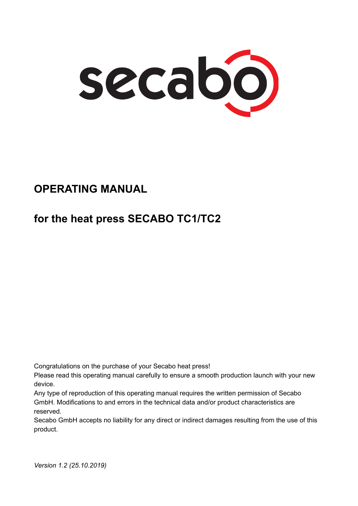

### **OPERATING MANUAL**

# **for the heat press SECABO TC1/TC2**

Congratulations on the purchase of your Secabo heat press!

Please read this operating manual carefully to ensure a smooth production launch with your new device.

Any type of reproduction of this operating manual requires the written permission of Secabo GmbH. Modifications to and errors in the technical data and/or product characteristics are reserved.

Secabo GmbH accepts no liability for any direct or indirect damages resulting from the use of this product.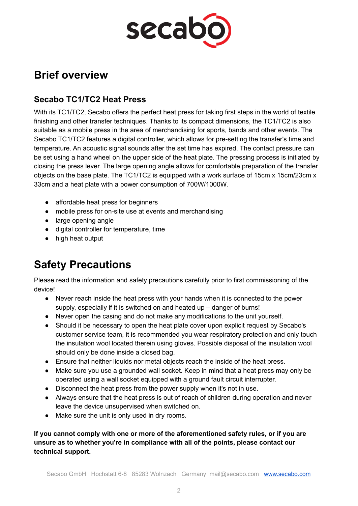

#### **Brief overview**

#### **Secabo TC1/TC2 Heat Press**

With its TC1/TC2, Secabo offers the perfect heat press for taking first steps in the world of textile finishing and other transfer techniques. Thanks to its compact dimensions, the TC1/TC2 is also suitable as a mobile press in the area of merchandising for sports, bands and other events. The Secabo TC1/TC2 features a digital controller, which allows for pre-setting the transfer's time and temperature. An acoustic signal sounds after the set time has expired. The contact pressure can be set using a hand wheel on the upper side of the heat plate. The pressing process is initiated by closing the press lever. The large opening angle allows for comfortable preparation of the transfer objects on the base plate. The TC1/TC2 is equipped with a work surface of 15cm x 15cm/23cm x 33cm and a heat plate with a power consumption of 700W/1000W.

- affordable heat press for beginners
- mobile press for on-site use at events and merchandising
- large opening angle
- digital controller for temperature, time
- high heat output

# **Safety Precautions**

Please read the information and safety precautions carefully prior to first commissioning of the device!

- Never reach inside the heat press with your hands when it is connected to the power supply, especially if it is switched on and heated up – danger of burns!
- Never open the casing and do not make any modifications to the unit yourself.
- Should it be necessary to open the heat plate cover upon explicit request by Secabo's customer service team, it is recommended you wear respiratory protection and only touch the insulation wool located therein using gloves. Possible disposal of the insulation wool should only be done inside a closed bag.
- Ensure that neither liquids nor metal objects reach the inside of the heat press.
- Make sure you use a grounded wall socket. Keep in mind that a heat press may only be operated using a wall socket equipped with a ground fault circuit interrupter.
- Disconnect the heat press from the power supply when it's not in use.
- Always ensure that the heat press is out of reach of children during operation and never leave the device unsupervised when switched on.
- Make sure the unit is only used in dry rooms.

**If you cannot comply with one or more of the aforementioned safety rules, or if you are unsure as to whether you're in compliance with all of the points, please contact our technical support.**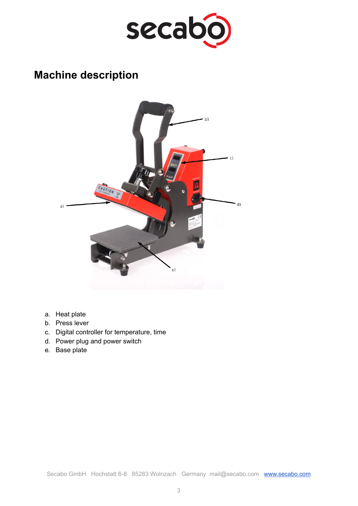

## **Machine description**



- a. Heat plate
- b. Press lever
- c. Digital controller for temperature, time
- d. Power plug and power switch
- e. Base plate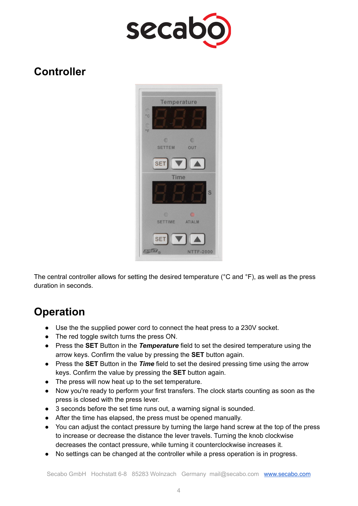

#### **Controller**



The central controller allows for setting the desired temperature (°C and °F), as well as the press duration in seconds.

### **Operation**

- Use the the supplied power cord to connect the heat press to a 230V socket.
- The red toggle switch turns the press ON.
- Press the **SET** Button in the *Temperature* field to set the desired temperature using the arrow keys. Confirm the value by pressing the **SET** button again.
- Press the **SET** Button in the *Time* field to set the desired pressing time using the arrow keys. Confirm the value by pressing the **SET** button again.
- The press will now heat up to the set temperature.
- Now you're ready to perform your first transfers. The clock starts counting as soon as the press is closed with the press lever.
- 3 seconds before the set time runs out, a warning signal is sounded.
- After the time has elapsed, the press must be opened manually.
- You can adjust the contact pressure by turning the large hand screw at the top of the press to increase or decrease the distance the lever travels. Turning the knob clockwise decreases the contact pressure, while turning it counterclockwise increases it.
- No settings can be changed at the controller while a press operation is in progress.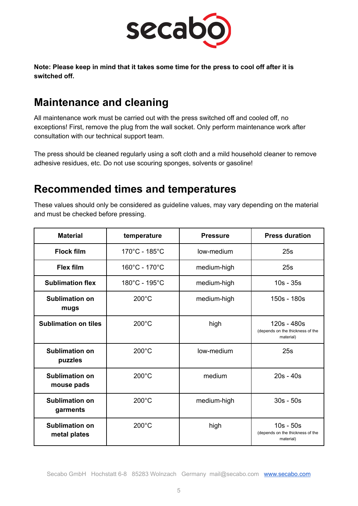

**Note: Please keep in mind that it takes some time for the press to cool off after it is switched off.**

## **Maintenance and cleaning**

All maintenance work must be carried out with the press switched off and cooled off, no exceptions! First, remove the plug from the wall socket. Only perform maintenance work after consultation with our technical support team.

The press should be cleaned regularly using a soft cloth and a mild household cleaner to remove adhesive residues, etc. Do not use scouring sponges, solvents or gasoline!

#### **Recommended times and temperatures**

These values should only be considered as guideline values, may vary depending on the material and must be checked before pressing.

| <b>Material</b>                       | temperature     | <b>Pressure</b> | <b>Press duration</b>                                        |
|---------------------------------------|-----------------|-----------------|--------------------------------------------------------------|
| <b>Flock film</b>                     | 170°C - 185°C   | low-medium      | 25s                                                          |
| <b>Flex film</b>                      | 160°C - 170°C   | medium-high     | 25s                                                          |
| <b>Sublimation flex</b>               | 180°C - 195°C   | medium-high     | $10s - 35s$                                                  |
| <b>Sublimation on</b><br>mugs         | $200^{\circ}$ C | medium-high     | 150s - 180s                                                  |
| <b>Sublimation on tiles</b>           | $200^{\circ}$ C | high            | 120s - 480s<br>(depends on the thickness of the<br>material) |
| <b>Sublimation on</b><br>puzzles      | $200^{\circ}$ C | low-medium      | 25s                                                          |
| <b>Sublimation on</b><br>mouse pads   | $200^{\circ}$ C | medium          | $20s - 40s$                                                  |
| <b>Sublimation on</b><br>garments     | $200^{\circ}$ C | medium-high     | $30s - 50s$                                                  |
| <b>Sublimation on</b><br>metal plates | $200^{\circ}$ C | high            | $10s - 50s$<br>(depends on the thickness of the<br>material) |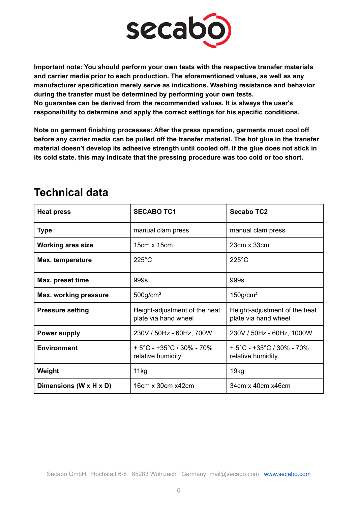

**Important note: You should perform your own tests with the respective transfer materials and carrier media prior to each production. The aforementioned values, as well as any manufacturer specification merely serve as indications. Washing resistance and behavior during the transfer must be determined by performing your own tests. No guarantee can be derived from the recommended values. It is always the user's responsibility to determine and apply the correct settings for his specific conditions.**

**Note on garment finishing processes: After the press operation, garments must cool off before any carrier media can be pulled off the transfer material. The hot glue in the transfer material doesn't develop its adhesive strength until cooled off. If the glue does not stick in its cold state, this may indicate that the pressing procedure was too cold or too short.**

| <b>Heat press</b>        | <b>SECABO TC1</b>                                                  | <b>Secabo TC2</b>                                                  |
|--------------------------|--------------------------------------------------------------------|--------------------------------------------------------------------|
| <b>Type</b>              | manual clam press                                                  | manual clam press                                                  |
| <b>Working area size</b> | 15cm x 15cm                                                        | 23cm x 33cm                                                        |
| Max. temperature         | $225^{\circ}$ C                                                    | $225^{\circ}$ C                                                    |
| Max. preset time         | 999s                                                               | 999s                                                               |
| Max. working pressure    | $500$ g/cm <sup>2</sup>                                            | $150$ g/cm <sup>2</sup>                                            |
| <b>Pressure setting</b>  | Height-adjustment of the heat<br>plate via hand wheel              | Height-adjustment of the heat<br>plate via hand wheel              |
| <b>Power supply</b>      | 230V / 50Hz - 60Hz, 700W                                           | 230V / 50Hz - 60Hz, 1000W                                          |
| <b>Environment</b>       | $+5^{\circ}$ C - +35 $^{\circ}$ C / 30% - 70%<br>relative humidity | $+5^{\circ}$ C - +35 $^{\circ}$ C / 30% - 70%<br>relative humidity |
| Weight                   | 11kg                                                               | 19kg                                                               |
| Dimensions (W x H x D)   | 16cm x 30cm x42cm                                                  | 34cm x 40cm x 46cm                                                 |

#### **Technical data**